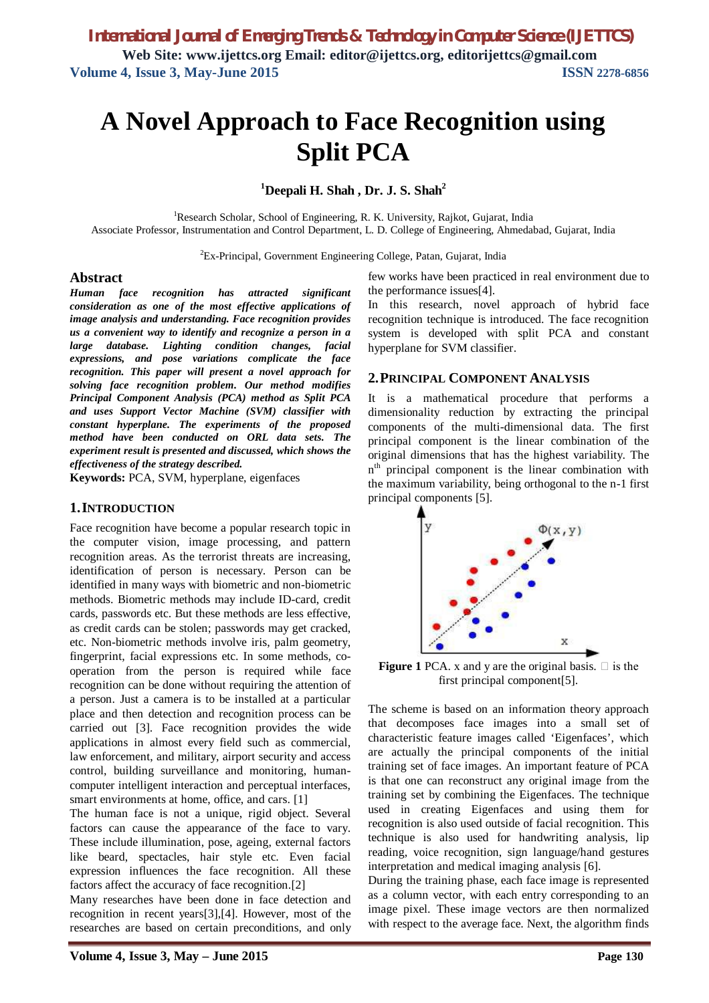# **A Novel Approach to Face Recognition using Split PCA**

**<sup>1</sup>Deepali H. Shah , Dr. J. S. Shah<sup>2</sup>**

<sup>1</sup>Research Scholar, School of Engineering, R. K. University, Rajkot, Gujarat, India Associate Professor, Instrumentation and Control Department, L. D. College of Engineering, Ahmedabad, Gujarat, India

<sup>2</sup>Ex-Principal, Government Engineering College, Patan, Gujarat, India

## **Abstract**

*Human face recognition has attracted significant consideration as one of the most effective applications of image analysis and understanding. Face recognition provides us a convenient way to identify and recognize a person in a large database. Lighting condition changes, facial expressions, and pose variations complicate the face recognition. This paper will present a novel approach for solving face recognition problem. Our method modifies Principal Component Analysis (PCA) method as Split PCA and uses Support Vector Machine (SVM) classifier with constant hyperplane. The experiments of the proposed method have been conducted on ORL data sets. The experiment result is presented and discussed, which shows the effectiveness of the strategy described.*

**Keywords:** PCA, SVM, hyperplane, eigenfaces

### **1.INTRODUCTION**

Face recognition have become a popular research topic in the computer vision, image processing, and pattern recognition areas. As the terrorist threats are increasing, identification of person is necessary. Person can be identified in many ways with biometric and non-biometric methods. Biometric methods may include ID-card, credit cards, passwords etc. But these methods are less effective, as credit cards can be stolen; passwords may get cracked, etc. Non-biometric methods involve iris, palm geometry, fingerprint, facial expressions etc. In some methods, cooperation from the person is required while face recognition can be done without requiring the attention of a person. Just a camera is to be installed at a particular place and then detection and recognition process can be carried out [3]. Face recognition provides the wide applications in almost every field such as commercial, law enforcement, and military, airport security and access control, building surveillance and monitoring, humancomputer intelligent interaction and perceptual interfaces, smart environments at home, office, and cars. [1]

The human face is not a unique, rigid object. Several factors can cause the appearance of the face to vary. These include illumination, pose, ageing, external factors like beard, spectacles, hair style etc. Even facial expression influences the face recognition. All these factors affect the accuracy of face recognition.[2]

Many researches have been done in face detection and recognition in recent years[3],[4]. However, most of the researches are based on certain preconditions, and only few works have been practiced in real environment due to the performance issues[4].

In this research, novel approach of hybrid face recognition technique is introduced. The face recognition system is developed with split PCA and constant hyperplane for SVM classifier.

#### **2.PRINCIPAL COMPONENT ANALYSIS**

It is a mathematical procedure that performs a dimensionality reduction by extracting the principal components of the multi-dimensional data. The first principal component is the linear combination of the original dimensions that has the highest variability. The n<sup>th</sup> principal component is the linear combination with the maximum variability, being orthogonal to the n-1 first principal components [5].



**Figure 1** PCA. x and y are the original basis.  $\Box$  is the first principal component[5].

The scheme is based on an information theory approach that decomposes face images into a small set of characteristic feature images called 'Eigenfaces', which are actually the principal components of the initial training set of face images. An important feature of PCA is that one can reconstruct any original image from the training set by combining the Eigenfaces. The technique used in creating Eigenfaces and using them for recognition is also used outside of facial recognition. This technique is also used for handwriting analysis, lip reading, voice recognition, sign language/hand gestures interpretation and medical imaging analysis [6].

During the training phase, each face image is represented as a column vector, with each entry corresponding to an image pixel. These image vectors are then normalized with respect to the average face. Next, the algorithm finds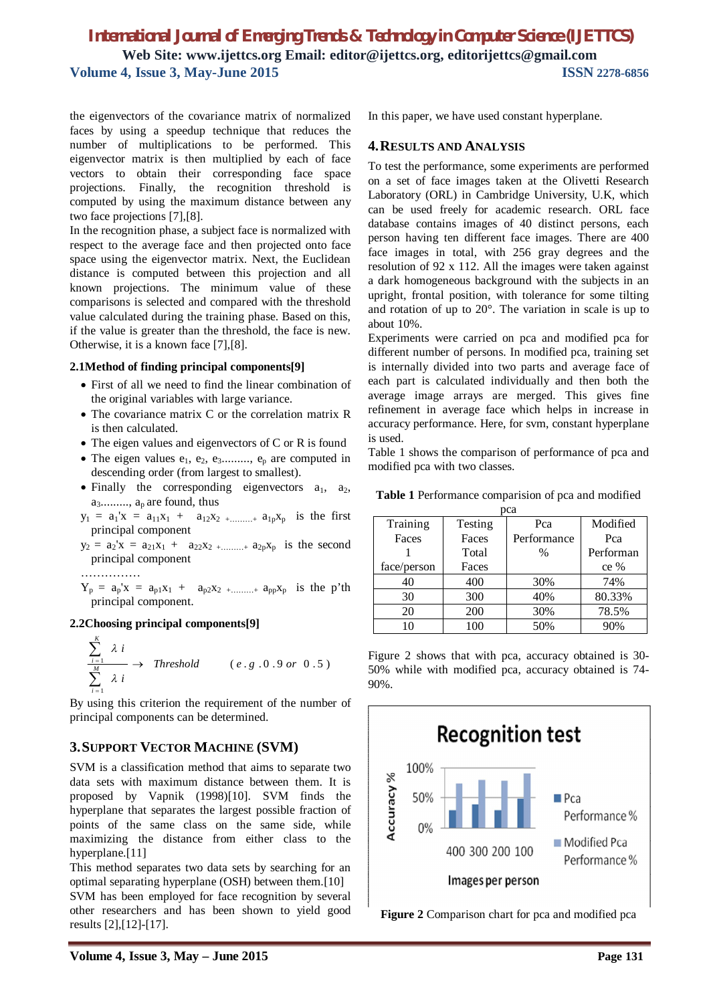# *International Journal of Emerging Trends & Technology in Computer Science (IJETTCS)* **Web Site: www.ijettcs.org Email: editor@ijettcs.org, editorijettcs@gmail.com Volume 4, Issue 3, May-June 2015 ISSN** 2278-6856

the eigenvectors of the covariance matrix of normalized faces by using a speedup technique that reduces the number of multiplications to be performed. This eigenvector matrix is then multiplied by each of face vectors to obtain their corresponding face space projections. Finally, the recognition threshold is computed by using the maximum distance between any two face projections [7],[8].

In the recognition phase, a subject face is normalized with respect to the average face and then projected onto face space using the eigenvector matrix. Next, the Euclidean distance is computed between this projection and all known projections. The minimum value of these comparisons is selected and compared with the threshold value calculated during the training phase. Based on this, if the value is greater than the threshold, the face is new. Otherwise, it is a known face [7],[8].

#### **2.1Method of finding principal components[9]**

- First of all we need to find the linear combination of the original variables with large variance.
- The covariance matrix C or the correlation matrix R is then calculated.
- The eigen values and eigenvectors of C or R is found
- The eigen values  $e_1, e_2, e_3$ ........,  $e_n$  are computed in descending order (from largest to smallest).
- Finally the corresponding eigenvectors  $a_1$ ,  $a_2$ ,  $a_3$ .........,  $a_p$  are found, thus

 $y_1 = a_1'x = a_{11}x_1 + a_{12}x_2 + \dots + a_{1p}x_p$  is the first principal component

- $y_2 = a_2'x = a_{21}x_1 + a_{22}x_2 + \dots + a_{2p}x_p$  is the second principal component
- ……………

 $Y_p = a_p'x = a_{p1}x_1 + a_{p2}x_2 + \dots + a_{pp}x_p$  is the p'th principal component.

## **2.2Choosing principal components[9]**

$$
\frac{\sum_{i=1}^{K} \lambda i}{\sum_{i=1}^{M} \lambda i} \rightarrow \text{Threshold} \qquad (e.g. 0.9 \text{ or } 0.5)
$$

By using this criterion the requirement of the number of principal components can be determined.

## **3.SUPPORT VECTOR MACHINE (SVM)**

SVM is a classification method that aims to separate two data sets with maximum distance between them. It is proposed by Vapnik (1998)[10]. SVM finds the hyperplane that separates the largest possible fraction of points of the same class on the same side, while maximizing the distance from either class to the hyperplane.[11]

This method separates two data sets by searching for an optimal separating hyperplane (OSH) between them.[10]

SVM has been employed for face recognition by several other researchers and has been shown to yield good results [2],[12]-[17].

In this paper, we have used constant hyperplane.

## **4.RESULTS AND ANALYSIS**

To test the performance, some experiments are performed on a set of face images taken at the Olivetti Research Laboratory (ORL) in Cambridge University, U.K, which can be used freely for academic research. ORL face database contains images of 40 distinct persons, each person having ten different face images. There are 400 face images in total, with 256 gray degrees and the resolution of 92 x 112. All the images were taken against a dark homogeneous background with the subjects in an upright, frontal position, with tolerance for some tilting and rotation of up to 20°. The variation in scale is up to about 10%.

Experiments were carried on pca and modified pca for different number of persons. In modified pca, training set is internally divided into two parts and average face of each part is calculated individually and then both the average image arrays are merged. This gives fine refinement in average face which helps in increase in accuracy performance. Here, for svm, constant hyperplane is used.

Table 1 shows the comparison of performance of pca and modified pca with two classes.

**Table 1** Performance comparision of pca and modified

| pca         |         |               |           |
|-------------|---------|---------------|-----------|
| Training    | Testing | Pca           | Modified  |
| Faces       | Faces   | Performance   | Pca       |
|             | Total   | $\frac{0}{0}$ | Performan |
| face/person | Faces   |               | $ce\%$    |
| 40          | 400     | 30%           | 74%       |
| 30          | 300     | 40%           | 80.33%    |
| 20          | 200     | 30%           | 78.5%     |
| 10          | 100     | 50%           | 90%       |

Figure 2 shows that with pca, accuracy obtained is 30- 50% while with modified pca, accuracy obtained is 74- 90%.



**Figure 2** Comparison chart for pca and modified pca